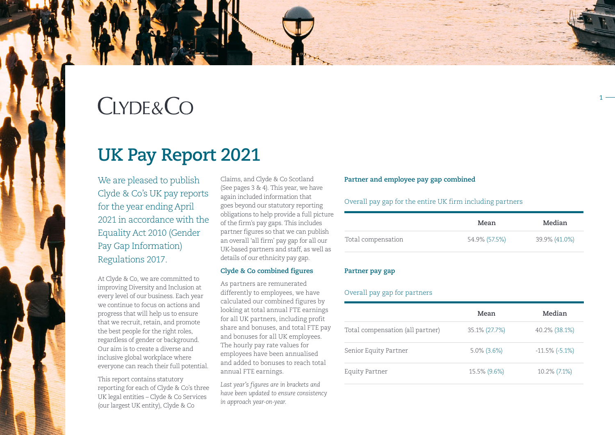# $C$ IYDF& $C$

# **UK Pay Report 2021**

We are pleased to publish Clyde & Co's UK pay reports for the year ending April 2021 in accordance with the Equality Act 2010 (Gender Pay Gap Information) Regulations 2017.

At Clyde & Co, we are committed to improving Diversity and Inclusion at every level of our business. Each year we continue to focus on actions and progress that will help us to ensure that we recruit, retain, and promote the best people for the right roles, regardless of gender or background. Our aim is to create a diverse and inclusive global workplace where everyone can reach their full potential.

This report contains statutory reporting for each of Clyde & Co's three UK legal entities – Clyde & Co Services (our largest UK entity), Clyde & Co

Claims, and Clyde & Co Scotland (See pages 3 & 4). This year, we have again included information that goes beyond our statutory reporting obligations to help provide a full picture of the firm's pay gaps. This includes partner figures so that we can publish an overall 'all firm' pay gap for all our UK-based partners and staff, as well as details of our ethnicity pay gap.

### **Clyde & Co combined figures**

As partners are remunerated differently to employees, we have calculated our combined figures by looking at total annual FTE earnings for all UK partners, including profit share and bonuses, and total FTE pay and bonuses for all UK employees. The hourly pay rate values for employees have been annualised and added to bonuses to reach total annual FTE earnings.

*Last year's figures are in brackets and have been updated to ensure consistency in approach year-on-year.*

## **Partner and employee pay gap combined**

## Overall pay gap for the entire UK firm including partners

|                    | Mean          | Median        |
|--------------------|---------------|---------------|
| Total compensation | 54.9% (57.5%) | 39.9% (41.0%) |

1

## **Partner pay gap**

#### Overall pay gap for partners

|                                  | Mean           | Median                 |
|----------------------------------|----------------|------------------------|
| Total compensation (all partner) | 35.1% (27.7%)  | 40.2% (38.1%)          |
| Senior Equity Partner            | $5.0\%$ (3.6%) | $-11.5\%$ ( $-5.1\%$ ) |
| Equity Partner                   | 15.5% (9.6%)   | 10.2% (7.1%)           |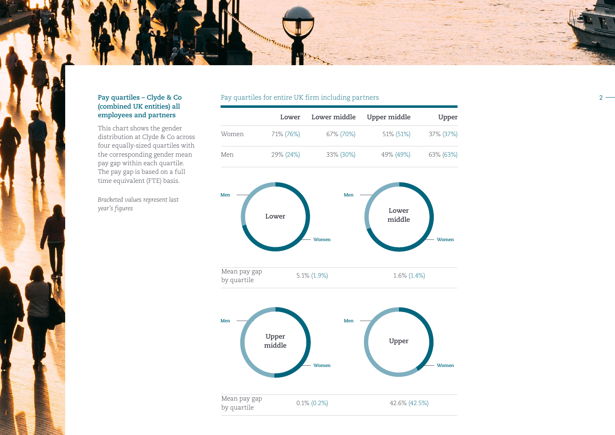### **Pay quartiles – Clyde & Co (combined UK entities) all employees and partners**

This chart shows the gender distribution at Clyde & Co across four equally-sized quartiles with the corresponding gender mean pay gap within each quartile. The pay gap is based on a full time equivalent (FTE) basis.

*Bracketed values represent last year's figures*

# Pay quartiles for entire UK firm including partners

PORTALLY LOGICAL

|       | Lower     | Lower middle | Upper middle | Upper     |
|-------|-----------|--------------|--------------|-----------|
| Women | 71% (76%) | 67% (70%)    | 51% (51%)    | 37% (37%) |
| Men   | 29% (24%) | 33% (30%)    | 49% (49%)    | 63% (63%) |



| Mean pay gap | $5.1\% (1.9\%)$ | $1.6\%$ $(1.4\%)$ |
|--------------|-----------------|-------------------|
| by quartile  |                 |                   |



 $2 -$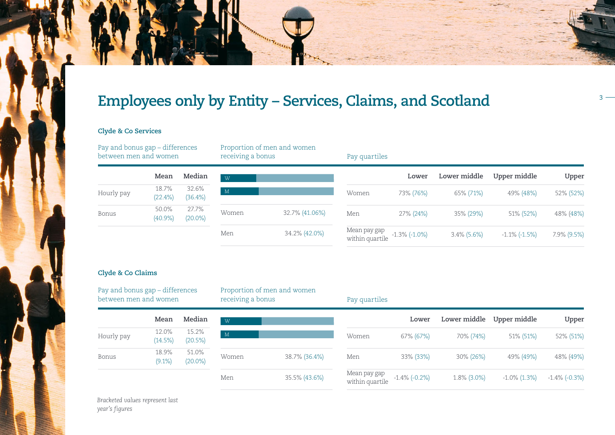# **Employees only by Entity – Services, Claims, and Scotland**

**MARTIN** 

# **Clyde & Co Services**

| Pay and bonus gap – differences<br>between men and women |                     |                     | receiving a bonus | Proportion of men and women | Pay quartiles                   |                     |                |                       |                |  |
|----------------------------------------------------------|---------------------|---------------------|-------------------|-----------------------------|---------------------------------|---------------------|----------------|-----------------------|----------------|--|
|                                                          | Mean                | Median              | W                 |                             |                                 | Lower               | Lower middle   | Upper middle          | Upper          |  |
| Hourly pay                                               | 18.7%<br>(22.4%)    | 32.6%<br>$(36.4\%)$ | M                 |                             | Women                           | 73% (76%)           | 65% (71%)      | 49% (48%)             | 52% (52%)      |  |
| Bonus                                                    | 50.0%<br>$(40.9\%)$ | 27.7%<br>$(20.0\%)$ | Women             | 32.7% (41.06%)              | Men                             | 27% (24%)           | 35% (29%)      | 51% (52%)             | 48% (48%)      |  |
|                                                          |                     |                     | Men               | 34.2% (42.0%)               | Mean pay gap<br>within quartile | $-1.3\%$ $(-1.0\%)$ | $3.4\%$ (5.6%) | $-1.1\%$ ( $-1.5\%$ ) | $7.9\%$ (9.5%) |  |

 $3 -$ 

# **Clyde & Co Claims**

| Pay and bonus gap – differences<br>between men and women |                    |                     | receiving a bonus | Proportion of men and women | Pay quartiles                   |                     |                |                 |                       |  |
|----------------------------------------------------------|--------------------|---------------------|-------------------|-----------------------------|---------------------------------|---------------------|----------------|-----------------|-----------------------|--|
|                                                          | Mean               | Median              | W                 |                             |                                 | Lower               | Lower middle   | Upper middle    | Upper                 |  |
| Hourly pay                                               | 12.0%<br>(14.5%)   | 15.2%<br>(20.5%)    | M                 |                             | Women                           | 67% (67%)           | 70% (74%)      | 51% (51%)       | 52% (51%)             |  |
| Bonus                                                    | 18.9%<br>$(9.1\%)$ | 51.0%<br>$(20.0\%)$ | Women             | 38.7% (36.4%)               | Men                             | 33% (33%)           | $30\% (26\%)$  | 49% (49%)       | 48% (49%)             |  |
|                                                          |                    |                     | Men               | 35.5% (43.6%)               | Mean pay gap<br>within quartile | $-1.4\%$ $(-0.2\%)$ | $1.8\%$ (3.0%) | $-1.0\%$ (1.3%) | $-1.4\%$ ( $-0.3\%$ ) |  |

*Bracketed values represent last year's figures*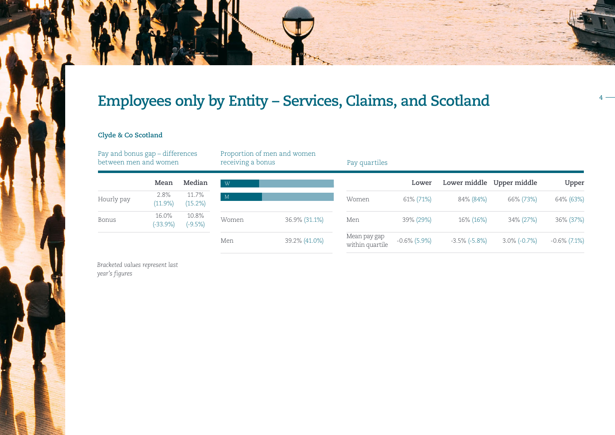# **Employees only by Entity – Services, Claims, and Scotland**

**MARTINGO** 

## **Clyde & Co Scotland**

|            | Proportion of men and women<br>Pay and bonus gap – differences<br>receiving a bonus<br>between men and women |                    | Pay quartiles |               |                                 |                 |                       |                 |                 |
|------------|--------------------------------------------------------------------------------------------------------------|--------------------|---------------|---------------|---------------------------------|-----------------|-----------------------|-----------------|-----------------|
|            | Mean                                                                                                         | Median             | W.            |               |                                 | Lower           | Lower middle          | Upper middle    | Upper           |
| Hourly pay | 2.8%<br>$(11.9\%)$                                                                                           | 11.7%<br>(15.2%)   | M             |               | Women                           | 61% (71%)       | 84% (84%)             | 66% (73%)       | 64% (63%)       |
| Bonus      | 16.0%<br>$(-33.9\%)$                                                                                         | 10.8%<br>$(-9.5%)$ | Women         | 36.9% (31.1%) | Men                             | 39% (29%)       | 16% (16%)             | 34% (27%)       | 36% (37%)       |
|            |                                                                                                              |                    | Men           | 39.2% (41.0%) | Mean pay gap<br>within quartile | $-0.6\%$ (5.9%) | $-3.5\%$ ( $-5.8\%$ ) | $3.0\%$ (-0.7%) | $-0.6\%$ (7.1%) |

4

*Bracketed values represent last year's figures*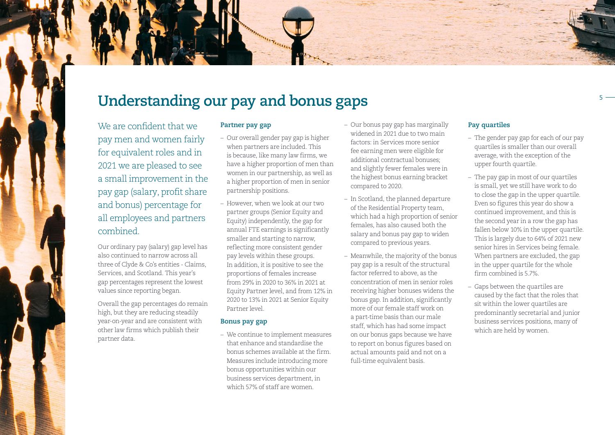# **Understanding our pay and bonus gaps**

We are confident that we pay men and women fairly for equivalent roles and in 2021 we are pleased to see a small improvement in the pay gap (salary, profit share and bonus) percentage for all employees and partners combined.

Our ordinary pay (salary) gap level has also continued to narrow across all three of Clyde & Co's entities - Claims, Services, and Scotland. This year's gap percentages represent the lowest values since reporting began.

Overall the gap percentages do remain high, but they are reducing steadily year-on-year and are consistent with other law firms which publish their partner data.

### **Partner pay gap**

- *–* Our overall gender pay gap is higher when partners are included. This is because, like many law firms, we have a higher proportion of men than women in our partnership, as well as a higher proportion of men in senior partnership positions.
- *–* However, when we look at our two partner groups (Senior Equity and Equity) independently, the gap for annual FTE earnings is significantly smaller and starting to narrow, reflecting more consistent gender pay levels within these groups. In addition, it is positive to see the proportions of females increase from 29% in 2020 to 36% in 2021 at Equity Partner level, and from 12% in 2020 to 13% in 2021 at Senior Equity Partner level.

#### **Bonus pay gap**

*–* We continue to implement measures that enhance and standardise the bonus schemes available at the firm. Measures include introducing more bonus opportunities within our business services department, in which 57% of staff are women.

- *–* Our bonus pay gap has marginally widened in 2021 due to two main factors: in Services more senior fee earning men were eligible for additional contractual bonuses; and slightly fewer females were in the highest bonus earning bracket compared to 2020.
- *–* In Scotland, the planned departure of the Residential Property team, which had a high proportion of senior females, has also caused both the salary and bonus pay gap to widen compared to previous years.
- *–* Meanwhile, the majority of the bonus pay gap is a result of the structural factor referred to above, as the concentration of men in senior roles receiving higher bonuses widens the bonus gap. In addition, significantly more of our female staff work on a part-time basis than our male staff, which has had some impact on our bonus gaps because we have to report on bonus figures based on actual amounts paid and not on a full-time equivalent basis.

#### **Pay quartiles**

*–* The gender pay gap for each of our pay quartiles is smaller than our overall average, with the exception of the upper fourth quartile.

- *–* The pay gap in most of our quartiles is small, yet we still have work to do to close the gap in the upper quartile. Even so figures this year do show a continued improvement, and this is the second year in a row the gap has fallen below 10% in the upper quartile. This is largely due to 64% of 2021 new senior hires in Services being female. When partners are excluded, the gap in the upper quartile for the whole firm combined is 5.7%.
- *–* Gaps between the quartiles are caused by the fact that the roles that sit within the lower quartiles are predominantly secretarial and junior business services positions, many of which are held by women.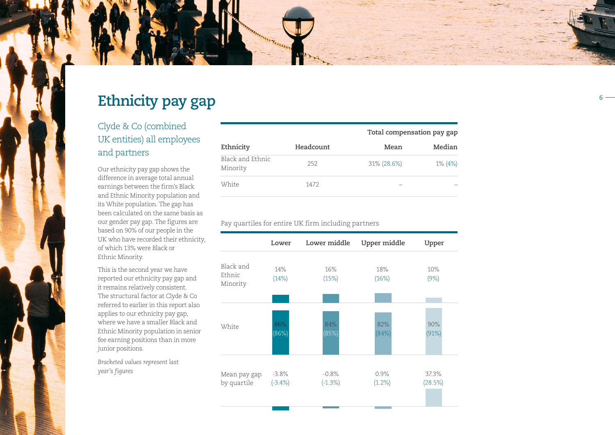# **Ethnicity pay gap**

# Clyde & Co (combined UK entities) all employees  $and$  partners

Our ethnicity pay gap shows the difference in average total annual earnings between the firm's Black and Ethnic Minority population and its White population. The gap has been calculated on the same basis as our gender pay gap. The figures are based on 90% of our people in the UK who have recorded their ethnicity, of which 13% were Black or Ethnic Minority.

This is the second year we have reported our ethnicity pay gap and it remains relatively consistent. The structural factor at Clyde & Co referred to earlier in this report also applies to our ethnicity pay gap, where we have a smaller Black and Ethnic Minority population in senior fee earning positions than in more junior positions.

*Bracketed values represent last year's figures*

|                              |           | Total compensation pay gap |         |
|------------------------------|-----------|----------------------------|---------|
| Ethnicity                    | Headcount | Mean                       | Median  |
| Black and Ethnic<br>Minority | 252       | 31% (28.6%)                | 1% (4%) |
| White                        | 1472      | -                          |         |

Pay quartiles for entire UK firm including partners

Manuel Labour

|                                 | Lower        | Lower middle | <b>Upper middle</b> | Upper        |
|---------------------------------|--------------|--------------|---------------------|--------------|
| Black and<br>Ethnic<br>Minority | 14%<br>(14%) | 16%<br>(15%) | 18%<br>(16%)        | 10%<br>(9% ) |
| White                           | 86%          | 84%          | 82%                 | 90%          |
|                                 | (86%)        | (85%)        | (84%)               | (91%)        |
| Mean pay gap                    | $-3.8\%$     | $-0.8\%$     | $0.9\%$             | 37.3%        |
| by quartile                     | $(-3.4%)$    | $(-1.3%)$    | (1.2%)              | (28.5%)      |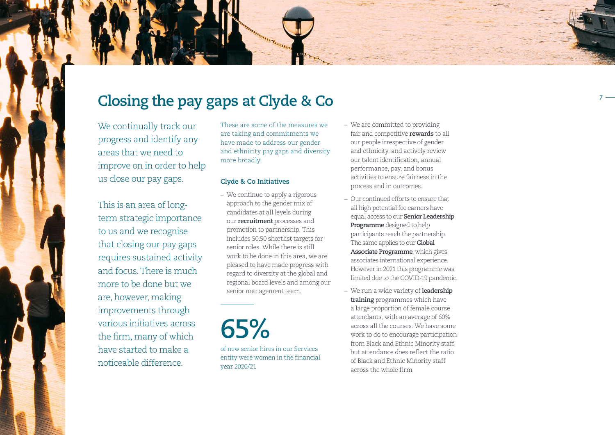

We continually track our progress and identify any areas that we need to improve on in order to help us close our pay gaps.

This is an area of longterm strategic importance to us and we recognise that closing our pay gaps requires sustained activity and focus. There is much more to be done but we are, however, making improvements through various initiatives across the firm, many of which have started to make a noticeable difference.

These are some of the measures we are taking and commitments we have made to address our gender and ethnicity pay gaps and diversity more broadly.

#### **Clyde & Co Initiatives**

*–* We continue to apply a rigorous approach to the gender mix of candidates at all levels during our **recruitment** processes and promotion to partnership. This includes 50:50 shortlist targets for senior roles. While there is still work to be done in this area, we are pleased to have made progress with regard to diversity at the global and regional board levels and among our senior management team.

# **65%**

of new senior hires in our Services entity were women in the financial year 2020/21

*–* We are committed to providing fair and competitive **rewards** to all our people irrespective of gender and ethnicity, and actively review our talent identification, annual performance, pay, and bonus activities to ensure fairness in the process and in outcomes.

- *–* Our continued efforts to ensure that all high potential fee earners have equal access to our **Senior Leadership Programme** designed to help participants reach the partnership. The same applies to our **Global Associate Programme**, which gives associates international experience. However in 2021 this programme was limited due to the COVID-19 pandemic.
- *–* We run a wide variety of **leadership training** programmes which have a large proportion of female course attendants, with an average of 60% across all the courses. We have some work to do to encourage participation from Black and Ethnic Minority staff, but attendance does reflect the ratio of Black and Ethnic Minority staff across the whole firm.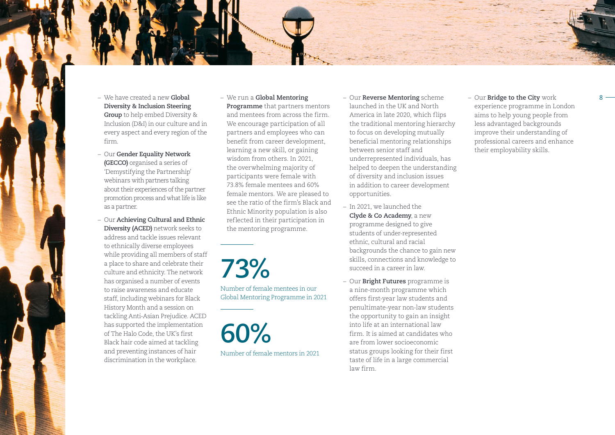- *–* We have created a new **Global Diversity & Inclusion Steering Group** to help embed Diversity & Inclusion (D&I) in our culture and in every aspect and every region of the firm.
- *–* Our **Gender Equality Network (GECCO)** organised a series of 'Demystifying the Partnership' webinars with partners talking about their experiences of the partner promotion process and what life is like as a partner.
- *–* Our **Achieving Cultural and Ethnic Diversity (ACED)** network seeks to address and tackle issues relevant to ethnically diverse employees while providing all members of staff a place to share and celebrate their culture and ethnicity. The network has organised a number of events to raise awareness and educate staff, including webinars for Black History Month and a session on tackling Anti-Asian Prejudice. ACED has supported the implementation of The Halo Code, the UK's first Black hair code aimed at tackling and preventing instances of hair discrimination in the workplace.
- *–* We run a **Global Mentoring Programme** that partners mentors and mentees from across the firm. We encourage participation of all partners and employees who can benefit from career development, learning a new skill, or gaining wisdom from others. In 2021, the overwhelming majority of participants were female with 73.8% female mentees and 60% female mentors. We are pleased to see the ratio of the firm's Black and Ethnic Minority population is also reflected in their participation in the mentoring programme.

**SARAWAY MARKA** 

**73%**

Number of female mentees in our Global Mentoring Programme in 2021

**60%** Number of female mentors in 2021

- *–* Our **Reverse Mentoring** scheme launched in the UK and North America in late 2020, which flips the traditional mentoring hierarchy to focus on developing mutually beneficial mentoring relationships between senior staff and underrepresented individuals, has helped to deepen the understanding of diversity and inclusion issues in addition to career development opportunities.
- *–* In 2021, we launched the **Clyde & Co Academy**, a new programme designed to give students of under-represented ethnic, cultural and racial backgrounds the chance to gain new skills, connections and knowledge to succeed in a career in law.
- *–* Our **Bright Futures** programme is a nine-month programme which offers first-year law students and penultimate-year non-law students the opportunity to gain an insight into life at an international law firm. It is aimed at candidates who are from lower socioeconomic status groups looking for their first taste of life in a large commercial law firm.

*–* Our **Bridge to the City** work experience programme in London aims to help young people from less advantaged backgrounds improve their understanding of professional careers and enhance their employability skills.